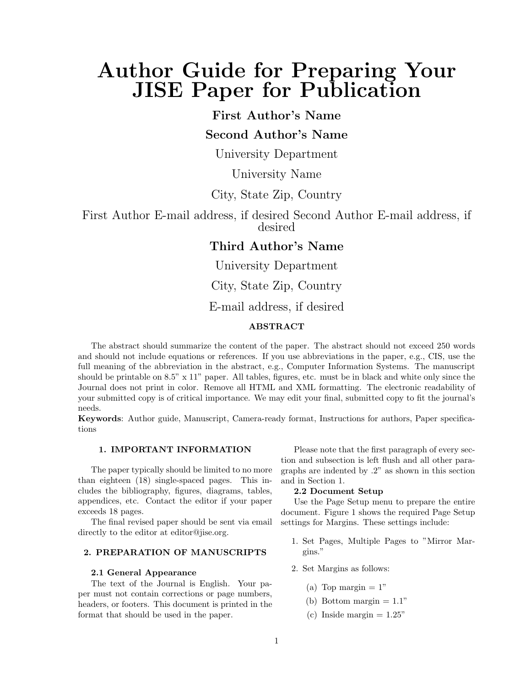# Author Guide for Preparing Your JISE Paper for Publication

# First Author's Name

# Second Author's Name

University Department

# University Name

# City, State Zip, Country

First Author E-mail address, if desired Second Author E-mail address, if desired

# Third Author's Name

University Department City, State Zip, Country

# E-mail address, if desired

## ABSTRACT

The abstract should summarize the content of the paper. The abstract should not exceed 250 words and should not include equations or references. If you use abbreviations in the paper, e.g., CIS, use the full meaning of the abbreviation in the abstract, e.g., Computer Information Systems. The manuscript should be printable on  $8.5$ "  $\times$  11" paper. All tables, figures, etc. must be in black and white only since the Journal does not print in color. Remove all HTML and XML formatting. The electronic readability of your submitted copy is of critical importance. We may edit your final, submitted copy to fit the journal's needs.

Keywords: Author guide, Manuscript, Camera-ready format, Instructions for authors, Paper specifications

## 1. IMPORTANT INFORMATION

The paper typically should be limited to no more than eighteen (18) single-spaced pages. This includes the bibliography, figures, diagrams, tables, appendices, etc. Contact the editor if your paper exceeds 18 pages.

The final revised paper should be sent via email directly to the editor at editor@jise.org.

#### 2. PREPARATION OF MANUSCRIPTS

## 2.1 General Appearance

The text of the Journal is English. Your paper must not contain corrections or page numbers, headers, or footers. This document is printed in the format that should be used in the paper.

Please note that the first paragraph of every section and subsection is left flush and all other paragraphs are indented by .2" as shown in this section and in Section 1.

## 2.2 Document Setup

Use the Page Setup menu to prepare the entire document. Figure 1 shows the required Page Setup settings for Margins. These settings include:

- 1. Set Pages, Multiple Pages to "Mirror Margins."
- 2. Set Margins as follows:
	- (a) Top margin  $= 1$ "
	- (b) Bottom margin  $= 1.1$ "
	- (c) Inside margin  $= 1.25$ "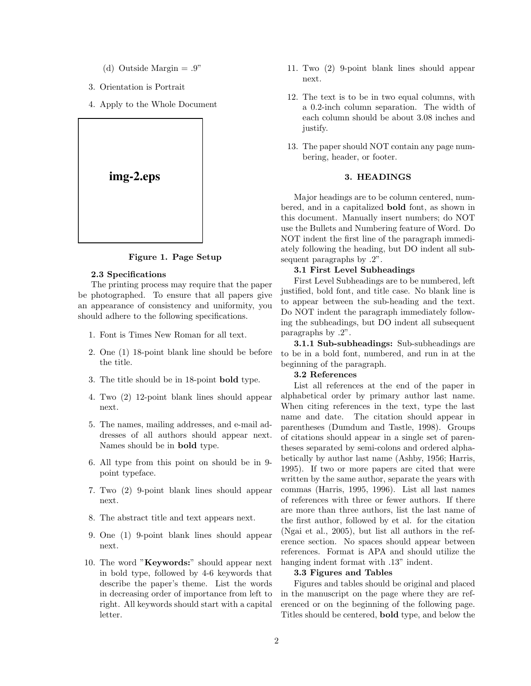- (d) Outside Margin  $= .9"$
- 3. Orientation is Portrait
- 4. Apply to the Whole Document



#### Figure 1. Page Setup

## 2.3 Specifications

The printing process may require that the paper be photographed. To ensure that all papers give an appearance of consistency and uniformity, you should adhere to the following specifications.

- 1. Font is Times New Roman for all text.
- 2. One (1) 18-point blank line should be before the title.
- 3. The title should be in 18-point bold type.
- 4. Two (2) 12-point blank lines should appear next.
- 5. The names, mailing addresses, and e-mail addresses of all authors should appear next. Names should be in bold type.
- 6. All type from this point on should be in 9 point typeface.
- 7. Two (2) 9-point blank lines should appear next.
- 8. The abstract title and text appears next.
- 9. One (1) 9-point blank lines should appear next.
- 10. The word "Keywords:" should appear next in bold type, followed by 4-6 keywords that describe the paper's theme. List the words in decreasing order of importance from left to right. All keywords should start with a capital letter.
- 11. Two (2) 9-point blank lines should appear next.
- 12. The text is to be in two equal columns, with a 0.2-inch column separation. The width of each column should be about 3.08 inches and justify.
- 13. The paper should NOT contain any page numbering, header, or footer.

## 3. HEADINGS

Major headings are to be column centered, numbered, and in a capitalized bold font, as shown in this document. Manually insert numbers; do NOT use the Bullets and Numbering feature of Word. Do NOT indent the first line of the paragraph immediately following the heading, but DO indent all subsequent paragraphs by .2".

## 3.1 First Level Subheadings

First Level Subheadings are to be numbered, left justified, bold font, and title case. No blank line is to appear between the sub-heading and the text. Do NOT indent the paragraph immediately following the subheadings, but DO indent all subsequent paragraphs by .2".

3.1.1 Sub-subheadings: Sub-subheadings are to be in a bold font, numbered, and run in at the beginning of the paragraph.

#### 3.2 References

List all references at the end of the paper in alphabetical order by primary author last name. When citing references in the text, type the last name and date. The citation should appear in parentheses (Dumdum and Tastle, 1998). Groups of citations should appear in a single set of parentheses separated by semi-colons and ordered alphabetically by author last name (Ashby, 1956; Harris, 1995). If two or more papers are cited that were written by the same author, separate the years with commas (Harris, 1995, 1996). List all last names of references with three or fewer authors. If there are more than three authors, list the last name of the first author, followed by et al. for the citation (Ngai et al., 2005), but list all authors in the reference section. No spaces should appear between references. Format is APA and should utilize the hanging indent format with .13" indent.

#### 3.3 Figures and Tables

Figures and tables should be original and placed in the manuscript on the page where they are referenced or on the beginning of the following page. Titles should be centered, bold type, and below the